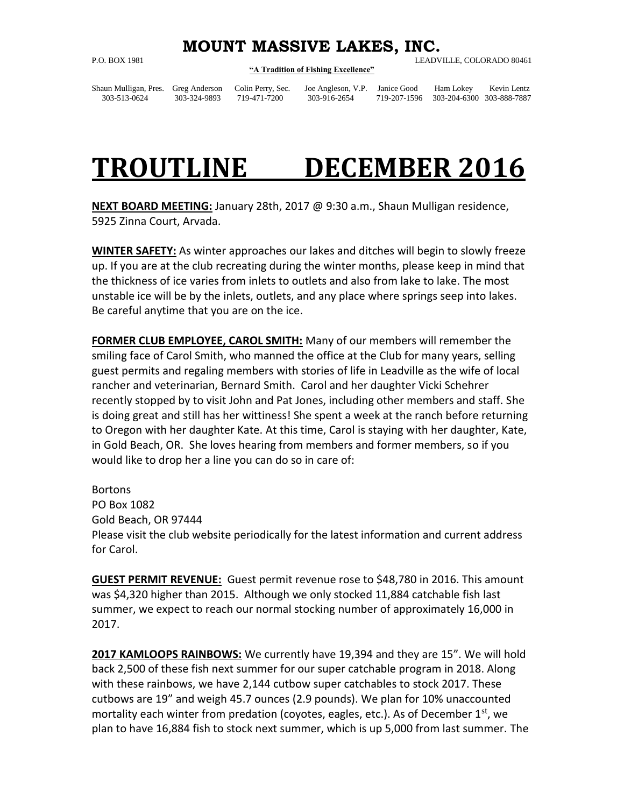## **MOUNT MASSIVE LAKES, INC.**

## **"A Tradition of Fishing Excellence"**

P.O. BOX 1981 LEADVILLE, COLORADO 80461

Shaun Mulligan, Pres. Greg Anderson Colin Perry, Sec. Joe Angleson, V.P. Janice Good Ham Lokey Kevin Lentz

303-513-0624 303-324-9893 719-471-7200 303-916-2654 719-207-1596 303-204-6300 303-888-7887

## **TROUTLINE DECEMBER 2016**

**NEXT BOARD MEETING:** January 28th, 2017 @ 9:30 a.m., Shaun Mulligan residence, 5925 Zinna Court, Arvada.

**WINTER SAFETY:** As winter approaches our lakes and ditches will begin to slowly freeze up. If you are at the club recreating during the winter months, please keep in mind that the thickness of ice varies from inlets to outlets and also from lake to lake. The most unstable ice will be by the inlets, outlets, and any place where springs seep into lakes. Be careful anytime that you are on the ice.

**FORMER CLUB EMPLOYEE, CAROL SMITH:** Many of our members will remember the smiling face of Carol Smith, who manned the office at the Club for many years, selling guest permits and regaling members with stories of life in Leadville as the wife of local rancher and veterinarian, Bernard Smith. Carol and her daughter Vicki Schehrer recently stopped by to visit John and Pat Jones, including other members and staff. She is doing great and still has her wittiness! She spent a week at the ranch before returning to Oregon with her daughter Kate. At this time, Carol is staying with her daughter, Kate, in Gold Beach, OR. She loves hearing from members and former members, so if you would like to drop her a line you can do so in care of:

**Bortons** PO Box 1082 Gold Beach, OR 97444 Please visit the club website periodically for the latest information and current address for Carol.

**GUEST PERMIT REVENUE:** Guest permit revenue rose to \$48,780 in 2016. This amount was \$4,320 higher than 2015. Although we only stocked 11,884 catchable fish last summer, we expect to reach our normal stocking number of approximately 16,000 in 2017.

**2017 KAMLOOPS RAINBOWS:** We currently have 19,394 and they are 15". We will hold back 2,500 of these fish next summer for our super catchable program in 2018. Along with these rainbows, we have 2,144 cutbow super catchables to stock 2017. These cutbows are 19" and weigh 45.7 ounces (2.9 pounds). We plan for 10% unaccounted mortality each winter from predation (coyotes, eagles, etc.). As of December  $1<sup>st</sup>$ , we plan to have 16,884 fish to stock next summer, which is up 5,000 from last summer. The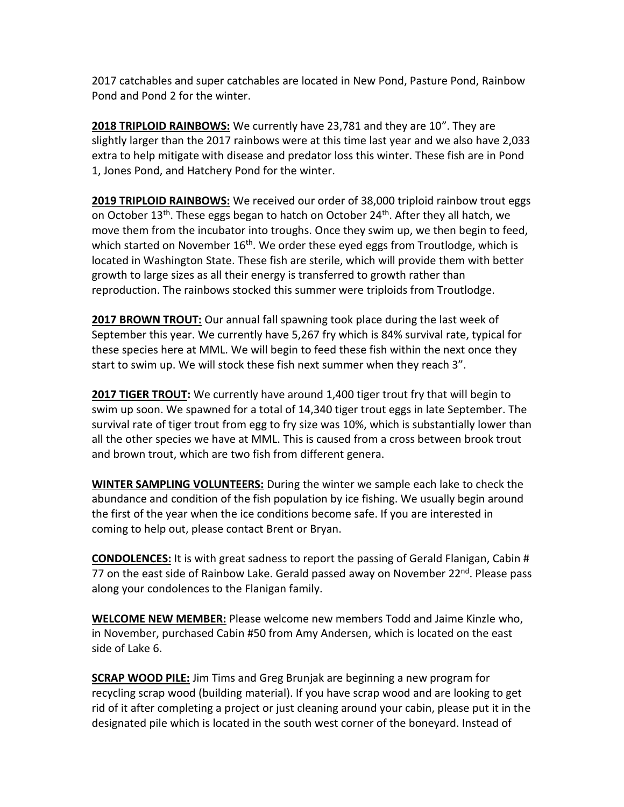2017 catchables and super catchables are located in New Pond, Pasture Pond, Rainbow Pond and Pond 2 for the winter.

**2018 TRIPLOID RAINBOWS:** We currently have 23,781 and they are 10". They are slightly larger than the 2017 rainbows were at this time last year and we also have 2,033 extra to help mitigate with disease and predator loss this winter. These fish are in Pond 1, Jones Pond, and Hatchery Pond for the winter.

**2019 TRIPLOID RAINBOWS:** We received our order of 38,000 triploid rainbow trout eggs on October 13<sup>th</sup>. These eggs began to hatch on October 24<sup>th</sup>. After they all hatch, we move them from the incubator into troughs. Once they swim up, we then begin to feed, which started on November 16<sup>th</sup>. We order these eyed eggs from Troutlodge, which is located in Washington State. These fish are sterile, which will provide them with better growth to large sizes as all their energy is transferred to growth rather than reproduction. The rainbows stocked this summer were triploids from Troutlodge.

**2017 BROWN TROUT:** Our annual fall spawning took place during the last week of September this year. We currently have 5,267 fry which is 84% survival rate, typical for these species here at MML. We will begin to feed these fish within the next once they start to swim up. We will stock these fish next summer when they reach 3".

**2017 TIGER TROUT:** We currently have around 1,400 tiger trout fry that will begin to swim up soon. We spawned for a total of 14,340 tiger trout eggs in late September. The survival rate of tiger trout from egg to fry size was 10%, which is substantially lower than all the other species we have at MML. This is caused from a cross between brook trout and [brown trout,](https://en.wikipedia.org/wiki/Brown_trout) which are two fish from different [genera.](https://en.wikipedia.org/wiki/Genus)

**WINTER SAMPLING VOLUNTEERS:** During the winter we sample each lake to check the abundance and condition of the fish population by ice fishing. We usually begin around the first of the year when the ice conditions become safe. If you are interested in coming to help out, please contact Brent or Bryan.

**CONDOLENCES:** It is with great sadness to report the passing of Gerald Flanigan, Cabin # 77 on the east side of Rainbow Lake. Gerald passed away on November 22<sup>nd</sup>. Please pass along your condolences to the Flanigan family.

**WELCOME NEW MEMBER:** Please welcome new members Todd and Jaime Kinzle who, in November, purchased Cabin #50 from Amy Andersen, which is located on the east side of Lake 6.

**SCRAP WOOD PILE:** Jim Tims and Greg Brunjak are beginning a new program for recycling scrap wood (building material). If you have scrap wood and are looking to get rid of it after completing a project or just cleaning around your cabin, please put it in the designated pile which is located in the south west corner of the boneyard. Instead of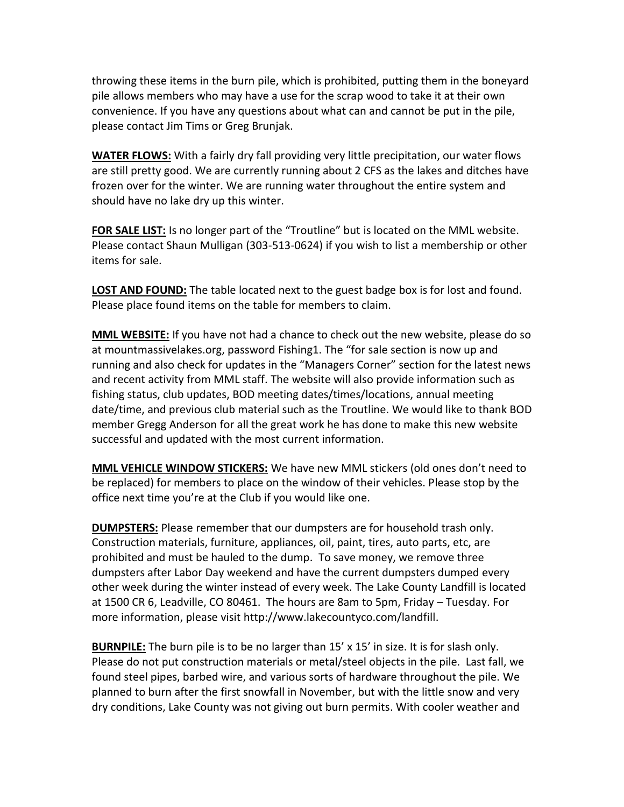throwing these items in the burn pile, which is prohibited, putting them in the boneyard pile allows members who may have a use for the scrap wood to take it at their own convenience. If you have any questions about what can and cannot be put in the pile, please contact Jim Tims or Greg Brunjak.

**WATER FLOWS:** With a fairly dry fall providing very little precipitation, our water flows are still pretty good. We are currently running about 2 CFS as the lakes and ditches have frozen over for the winter. We are running water throughout the entire system and should have no lake dry up this winter.

FOR SALE LIST: Is no longer part of the "Troutline" but is located on the MML website. Please contact Shaun Mulligan (303-513-0624) if you wish to list a membership or other items for sale.

**LOST AND FOUND:** The table located next to the guest badge box is for lost and found. Please place found items on the table for members to claim.

**MML WEBSITE:** If you have not had a chance to check out the new website, please do so at mountmassivelakes.org, password Fishing1. The "for sale section is now up and running and also check for updates in the "Managers Corner" section for the latest news and recent activity from MML staff. The website will also provide information such as fishing status, club updates, BOD meeting dates/times/locations, annual meeting date/time, and previous club material such as the Troutline. We would like to thank BOD member Gregg Anderson for all the great work he has done to make this new website successful and updated with the most current information.

**MML VEHICLE WINDOW STICKERS:** We have new MML stickers (old ones don't need to be replaced) for members to place on the window of their vehicles. Please stop by the office next time you're at the Club if you would like one.

**DUMPSTERS:** Please remember that our dumpsters are for household trash only. Construction materials, furniture, appliances, oil, paint, tires, auto parts, etc, are prohibited and must be hauled to the dump. To save money, we remove three dumpsters after Labor Day weekend and have the current dumpsters dumped every other week during the winter instead of every week. The Lake County Landfill is located at 1500 CR 6, Leadville, CO 80461. The hours are 8am to 5pm, Friday – Tuesday. For more information, please visit [http://www.lakecountyco.com/landfill.](http://www.lakecountyco.com/landfill)

**BURNPILE:** The burn pile is to be no larger than 15' x 15' in size. It is for slash only. Please do not put construction materials or metal/steel objects in the pile. Last fall, we found steel pipes, barbed wire, and various sorts of hardware throughout the pile. We planned to burn after the first snowfall in November, but with the little snow and very dry conditions, Lake County was not giving out burn permits. With cooler weather and